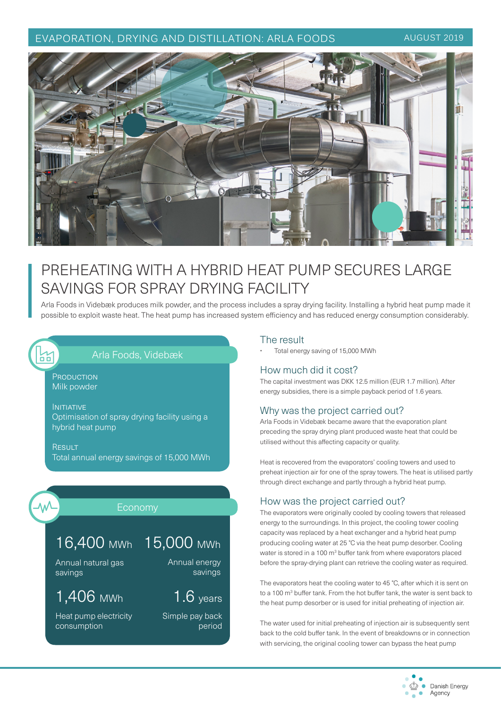# EVAPORATION, DRYING AND DISTILLATION: ARLA FOODS AUGUST 2019



# PREHEATING WITH A HYBRID HEAT PUMP SECURES LARGE SAVINGS FOR SPRAY DRYING FACILITY

Arla Foods in Videbæk produces milk powder, and the process includes a spray drying facility. Installing a hybrid heat pump made it possible to exploit waste heat. The heat pump has increased system efficiency and has reduced energy consumption considerably.

# Arla Foods, Videbæk

**PRODUCTION** Milk powder

INITIATIVE Optimisation of spray drying facility using a hybrid heat pump

**RESULT** Total annual energy savings of 15,000 MWh



섦

# Economy

# 16,400 MWh 15,000 MWh

Annual natural gas savings

# 1,406 MWh

Heat pump electricity consumption

Annual energy savings

1.6 years

Simple pay back period

### The result

• Total energy saving of 15,000 MWh

## How much did it cost?

The capital investment was DKK 12.5 million (EUR 1.7 million). After energy subsidies, there is a simple payback period of 1.6 years.

## Why was the project carried out?

Arla Foods in Videbæk became aware that the evaporation plant preceding the spray drying plant produced waste heat that could be utilised without this affecting capacity or quality.

Heat is recovered from the evaporators' cooling towers and used to preheat injection air for one of the spray towers. The heat is utilised partly through direct exchange and partly through a hybrid heat pump.

# How was the project carried out?

The evaporators were originally cooled by cooling towers that released energy to the surroundings. In this project, the cooling tower cooling capacity was replaced by a heat exchanger and a hybrid heat pump producing cooling water at 25 °C via the heat pump desorber. Cooling water is stored in a 100 m<sup>3</sup> buffer tank from where evaporators placed before the spray-drying plant can retrieve the cooling water as required.

The evaporators heat the cooling water to 45 °C, after which it is sent on to a 100 m<sup>3</sup> buffer tank. From the hot buffer tank, the water is sent back to the heat pump desorber or is used for initial preheating of injection air.

The water used for initial preheating of injection air is subsequently sent back to the cold buffer tank. In the event of breakdowns or in connection with servicing, the original cooling tower can bypass the heat pump